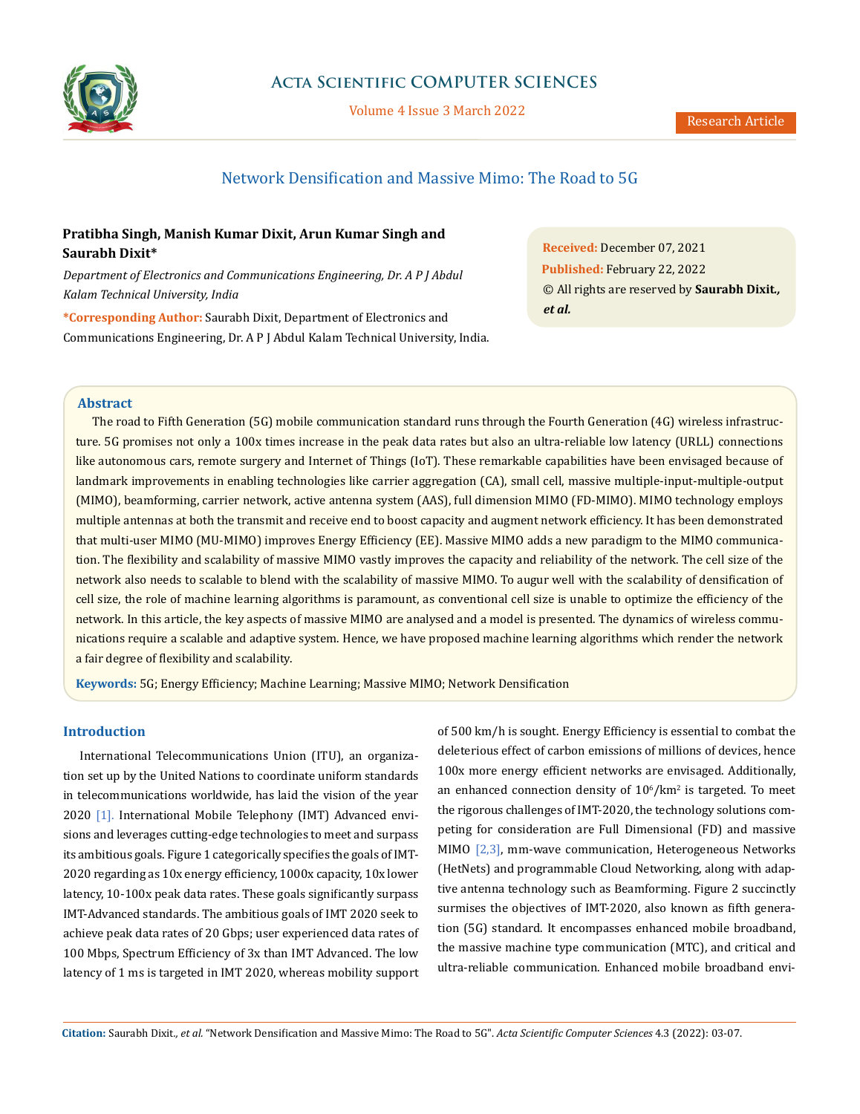

## **Acta Scientific COMPUTER SCIENCES**

Volume 4 Issue 3 March 2022

# Network Densification and Massive Mimo: The Road to 5G

## **Pratibha Singh, Manish Kumar Dixit, Arun Kumar Singh and Saurabh Dixit\***

*Department of Electronics and Communications Engineering, Dr. A P J Abdul Kalam Technical University, India*

**\*Corresponding Author:** Saurabh Dixit, Department of Electronics and Communications Engineering, Dr. A P J Abdul Kalam Technical University, India. **Received:** December 07, 2021 **Published:** February 22, 2022 © All rights are reserved by **Saurabh Dixit***., et al.*

### **Abstract**

The road to Fifth Generation (5G) mobile communication standard runs through the Fourth Generation (4G) wireless infrastructure. 5G promises not only a 100x times increase in the peak data rates but also an ultra-reliable low latency (URLL) connections like autonomous cars, remote surgery and Internet of Things (IoT). These remarkable capabilities have been envisaged because of landmark improvements in enabling technologies like carrier aggregation (CA), small cell, massive multiple-input-multiple-output (MIMO), beamforming, carrier network, active antenna system (AAS), full dimension MIMO (FD-MIMO). MIMO technology employs multiple antennas at both the transmit and receive end to boost capacity and augment network efficiency. It has been demonstrated that multi-user MIMO (MU-MIMO) improves Energy Efficiency (EE). Massive MIMO adds a new paradigm to the MIMO communication. The flexibility and scalability of massive MIMO vastly improves the capacity and reliability of the network. The cell size of the network also needs to scalable to blend with the scalability of massive MIMO. To augur well with the scalability of densification of cell size, the role of machine learning algorithms is paramount, as conventional cell size is unable to optimize the efficiency of the network. In this article, the key aspects of massive MIMO are analysed and a model is presented. The dynamics of wireless communications require a scalable and adaptive system. Hence, we have proposed machine learning algorithms which render the network a fair degree of flexibility and scalability.

**Keywords:** 5G; Energy Efficiency; Machine Learning; Massive MIMO; Network Densification

## **Introduction**

International Telecommunications Union (ITU), an organization set up by the United Nations to coordinate uniform standards in telecommunications worldwide, has laid the vision of the year 2020 [1]. International Mobile Telephony (IMT) Advanced envisions and leverages cutting-edge technologies to meet and surpass its ambitious goals. Figure 1 categorically specifies the goals of IMT-2020 regarding as 10x energy efficiency, 1000x capacity, 10x lower latency, 10-100x peak data rates. These goals significantly surpass IMT-Advanced standards. The ambitious goals of IMT 2020 seek to achieve peak data rates of 20 Gbps; user experienced data rates of 100 Mbps, Spectrum Efficiency of 3x than IMT Advanced. The low latency of 1 ms is targeted in IMT 2020, whereas mobility support of 500 km/h is sought. Energy Efficiency is essential to combat the deleterious effect of carbon emissions of millions of devices, hence 100x more energy efficient networks are envisaged. Additionally, an enhanced connection density of  $10^6/\mathrm{km^2}$  is targeted. To meet the rigorous challenges of IMT-2020, the technology solutions competing for consideration are Full Dimensional (FD) and massive MIMO [2,3], mm-wave communication, Heterogeneous Networks (HetNets) and programmable Cloud Networking, along with adaptive antenna technology such as Beamforming. Figure 2 succinctly surmises the objectives of IMT-2020, also known as fifth generation (5G) standard. It encompasses enhanced mobile broadband, the massive machine type communication (MTC), and critical and ultra-reliable communication. Enhanced mobile broadband envi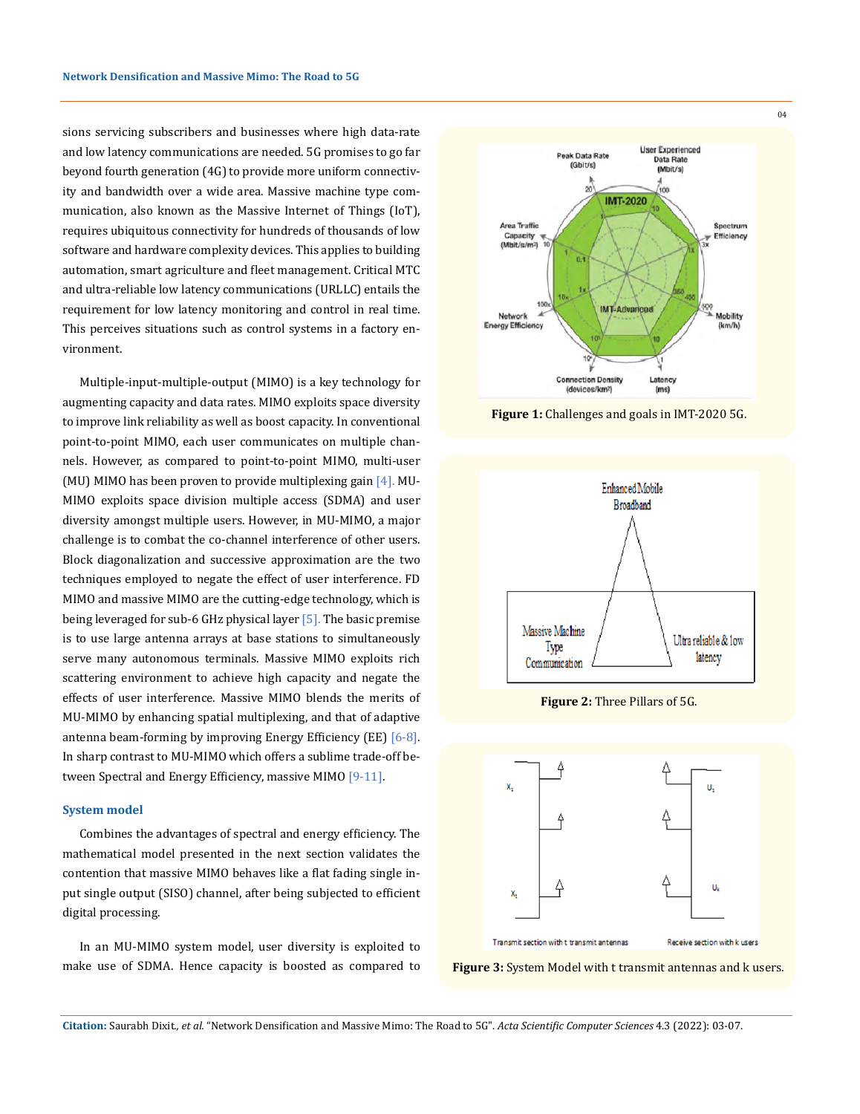sions servicing subscribers and businesses where high data-rate and low latency communications are needed. 5G promises to go far beyond fourth generation (4G) to provide more uniform connectivity and bandwidth over a wide area. Massive machine type communication, also known as the Massive Internet of Things (IoT), requires ubiquitous connectivity for hundreds of thousands of low software and hardware complexity devices. This applies to building automation, smart agriculture and fleet management. Critical MTC and ultra-reliable low latency communications (URLLC) entails the requirement for low latency monitoring and control in real time. This perceives situations such as control systems in a factory environment.

Multiple-input-multiple-output (MIMO) is a key technology for augmenting capacity and data rates. MIMO exploits space diversity to improve link reliability as well as boost capacity. In conventional point-to-point MIMO, each user communicates on multiple channels. However, as compared to point-to-point MIMO, multi-user (MU) MIMO has been proven to provide multiplexing gain [4]. MU-MIMO exploits space division multiple access (SDMA) and user diversity amongst multiple users. However, in MU-MIMO, a major challenge is to combat the co-channel interference of other users. Block diagonalization and successive approximation are the two techniques employed to negate the effect of user interference. FD MIMO and massive MIMO are the cutting-edge technology, which is being leveraged for sub-6 GHz physical layer [5]. The basic premise is to use large antenna arrays at base stations to simultaneously serve many autonomous terminals. Massive MIMO exploits rich scattering environment to achieve high capacity and negate the effects of user interference. Massive MIMO blends the merits of MU-MIMO by enhancing spatial multiplexing, and that of adaptive antenna beam-forming by improving Energy Efficiency (EE) [6-8]. In sharp contrast to MU-MIMO which offers a sublime trade-off between Spectral and Energy Efficiency, massive MIMO [9-11].

#### **System model**

Combines the advantages of spectral and energy efficiency. The mathematical model presented in the next section validates the contention that massive MIMO behaves like a flat fading single input single output (SISO) channel, after being subjected to efficient digital processing.

In an MU-MIMO system model, user diversity is exploited to make use of SDMA. Hence capacity is boosted as compared to



**Figure 1:** Challenges and goals in IMT-2020 5G.



**Figure 2:** Three Pillars of 5G.





**Citation:** Saurabh Dixit*., et al.* "Network Densification and Massive Mimo: The Road to 5G". *Acta Scientific Computer Sciences* 4.3 (2022): 03-07.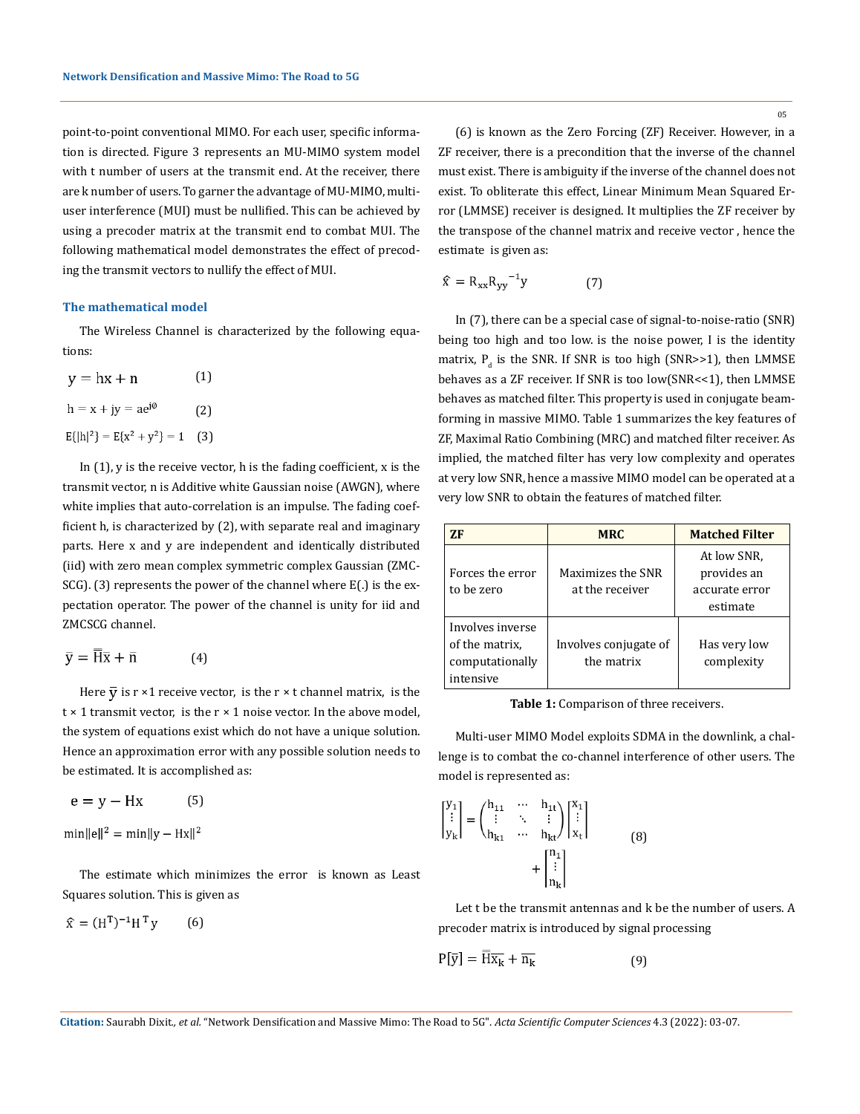point-to-point conventional MIMO. For each user, specific information is directed. Figure 3 represents an MU-MIMO system model with t number of users at the transmit end. At the receiver, there are k number of users. To garner the advantage of MU-MIMO, multiuser interference (MUI) must be nullified. This can be achieved by using a precoder matrix at the transmit end to combat MUI. The following mathematical model demonstrates the effect of precoding the transmit vectors to nullify the effect of MUI.

#### **The mathematical model**

The Wireless Channel is characterized by the following equations:

| $y = hx + n$                    | (1) |
|---------------------------------|-----|
| $h = x + jy = ae^{j\phi}$       | (2) |
| $E{h 2} = E{x^2 + y^2} = 1$ (3) |     |

In  $(1)$ , y is the receive vector, h is the fading coefficient, x is the transmit vector, n is Additive white Gaussian noise (AWGN), where white implies that auto-correlation is an impulse. The fading coefficient h, is characterized by (2), with separate real and imaginary parts. Here x and y are independent and identically distributed (iid) with zero mean complex symmetric complex Gaussian (ZMC-SCG). (3) represents the power of the channel where E(.) is the expectation operator. The power of the channel is unity for iid and ZMCSCG channel.

$$
\bar{y} = H\bar{x} + \bar{n} \tag{4}
$$

Here  $\overline{y}$  is r ×1 receive vector, is the r × t channel matrix, is the  $t \times 1$  transmit vector, is the  $r \times 1$  noise vector. In the above model, the system of equations exist which do not have a unique solution. Hence an approximation error with any possible solution needs to be estimated. It is accomplished as:

$$
e = y - Hx \tag{5}
$$

 $min||e||^2 = min||y - Hx||^2$ 

The estimate which minimizes the error is known as Least Squares solution. This is given as

$$
\widehat{\mathbf{x}} = (\mathbf{H}^{\mathrm{T}})^{-1} \mathbf{H}^{\mathrm{T}} \mathbf{y} \qquad (6)
$$

05

(6) is known as the Zero Forcing (ZF) Receiver. However, in a ZF receiver, there is a precondition that the inverse of the channel must exist. There is ambiguity if the inverse of the channel does not exist. To obliterate this effect, Linear Minimum Mean Squared Error (LMMSE) receiver is designed. It multiplies the ZF receiver by the transpose of the channel matrix and receive vector , hence the estimate is given as:

$$
\widehat{\mathbf{x}} = \mathbf{R}_{\mathbf{x}\mathbf{x}} \mathbf{R}_{\mathbf{y}\mathbf{y}}^{-1} \mathbf{y} \tag{7}
$$

In (7), there can be a special case of signal-to-noise-ratio (SNR) being too high and too low. is the noise power, I is the identity matrix,  $P_d$  is the SNR. If SNR is too high (SNR>>1), then LMMSE behaves as a ZF receiver. If SNR is too low(SNR<<1), then LMMSE behaves as matched filter. This property is used in conjugate beamforming in massive MIMO. Table 1 summarizes the key features of ZF, Maximal Ratio Combining (MRC) and matched filter receiver. As implied, the matched filter has very low complexity and operates at very low SNR, hence a massive MIMO model can be operated at a very low SNR to obtain the features of matched filter.

| 7F                                                                 | <b>MRC</b>                           | <b>Matched Filter</b>                                    |
|--------------------------------------------------------------------|--------------------------------------|----------------------------------------------------------|
| Forces the error<br>to be zero                                     | Maximizes the SNR<br>at the receiver | At low SNR,<br>provides an<br>accurate error<br>estimate |
| Involves inverse<br>of the matrix.<br>computationally<br>intensive | Involves conjugate of<br>the matrix  | Has very low<br>complexity                               |

**Table 1:** Comparison of three receivers.

Multi-user MIMO Model exploits SDMA in the downlink, a challenge is to combat the co-channel interference of other users. The model is represented as:

$$
\begin{bmatrix} y_1 \\ \vdots \\ y_k \end{bmatrix} = \begin{pmatrix} h_{11} & \cdots & h_{1t} \\ \vdots & \ddots & \vdots \\ h_{k1} & \cdots & h_{kt} \end{pmatrix} \begin{bmatrix} x_1 \\ \vdots \\ x_t \end{bmatrix} + \begin{bmatrix} n_1 \\ \vdots \\ n_k \end{bmatrix}
$$
 (8)

Let t be the transmit antennas and k be the number of users. A precoder matrix is introduced by signal processing

$$
P[\bar{y}] = H\bar{x}_k + \bar{n}_k \tag{9}
$$

**Citation:** Saurabh Dixit*., et al.* "Network Densification and Massive Mimo: The Road to 5G". *Acta Scientific Computer Sciences* 4.3 (2022): 03-07.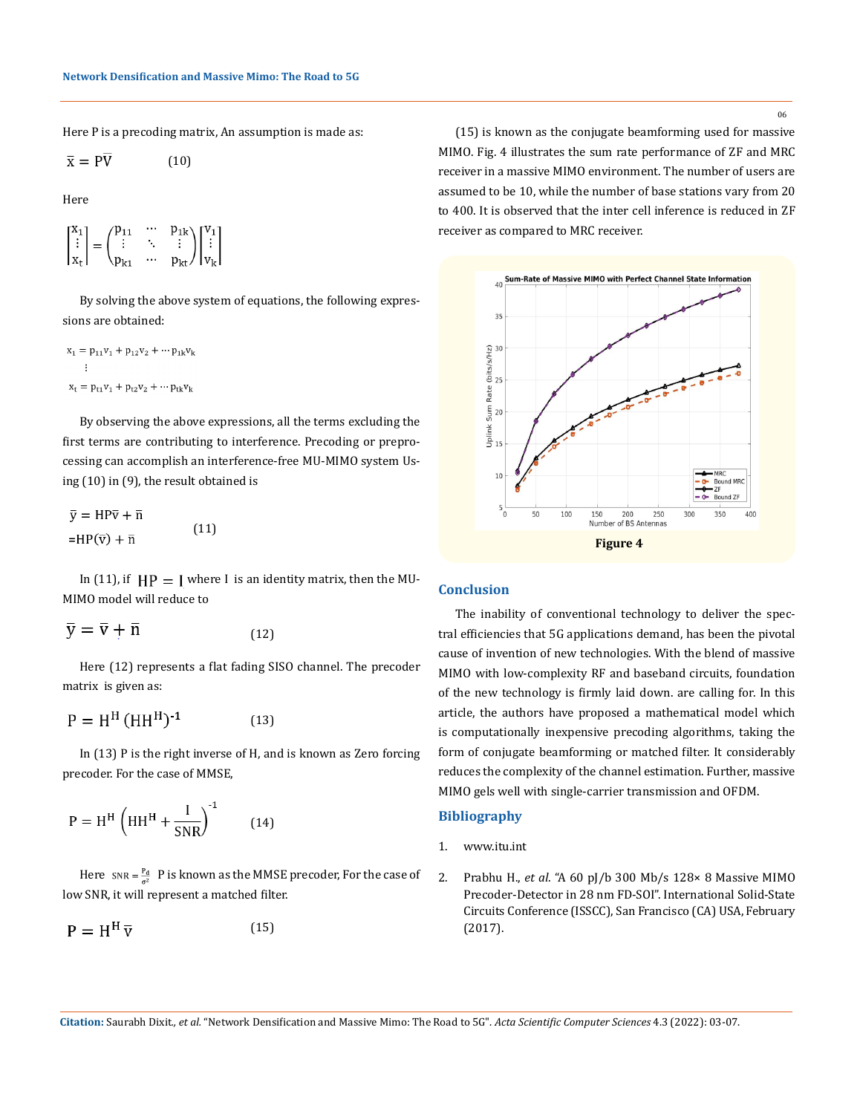Here P is a precoding matrix, An assumption is made as:

$$
\bar{\mathbf{x}} = \mathbf{P}\overline{\mathbf{V}} \tag{10}
$$

Here

$$
\begin{bmatrix} x_1 \\ \vdots \\ x_t \end{bmatrix} = \begin{pmatrix} p_{11} & \cdots & p_{1k} \\ \vdots & \ddots & \vdots \\ p_{k1} & \cdots & p_{kt} \end{pmatrix} \begin{bmatrix} v_1 \\ \vdots \\ v_k \end{bmatrix}
$$

By solving the above system of equations, the following expressions are obtained:

$$
x_1 = p_{11}v_1 + p_{12}v_2 + \cdots p_{1k}v_k
$$
  
 
$$
\vdots
$$
  
 
$$
x_t = p_{t1}v_1 + p_{t2}v_2 + \cdots p_{tk}v_k
$$

By observing the above expressions, all the terms excluding the first terms are contributing to interference. Precoding or preprocessing can accomplish an interference-free MU-MIMO system Using (10) in (9), the result obtained is

$$
\bar{y} = HP\bar{v} + \bar{n}
$$
  
=HP(\bar{v}) + \bar{n} \t(11)

In (11), if  $HP = I$  where I is an identity matrix, then the MU-MIMO model will reduce to

$$
\overline{y} = \overline{v} + \overline{n} \tag{12}
$$

Here (12) represents a flat fading SISO channel. The precoder matrix is given as:

$$
P = HH (HHH)-1
$$
 (13)

In (13) P is the right inverse of H, and is known as Zero forcing precoder. For the case of MMSE,

$$
P = H^{H} \left( H H^{H} + \frac{I}{SNR} \right)^{-1}
$$
 (14)

Here  $SNR = \frac{P_d}{\sigma^2}$ . P is known as the MMSE precoder, For the case of low SNR, it will represent a matched filter.

$$
P = H^H \overline{v}
$$
 (15)

(15) is known as the conjugate beamforming used for massive MIMO. Fig. 4 illustrates the sum rate performance of ZF and MRC receiver in a massive MIMO environment. The number of users are assumed to be 10, while the number of base stations vary from 20 to 400. It is observed that the inter cell inference is reduced in ZF receiver as compared to MRC receiver.



## **Conclusion**

The inability of conventional technology to deliver the spectral efficiencies that 5G applications demand, has been the pivotal cause of invention of new technologies. With the blend of massive MIMO with low-complexity RF and baseband circuits, foundation of the new technology is firmly laid down. are calling for. In this article, the authors have proposed a mathematical model which is computationally inexpensive precoding algorithms, taking the form of conjugate beamforming or matched filter. It considerably reduces the complexity of the channel estimation. Further, massive MIMO gels well with single-carrier transmission and OFDM.

## **Bibliography**

- 1. [www.itu.int](http://www.itu.int)
- 2. Prabhu H., *et al*. "A 60 pJ/b 300 Mb/s 128× 8 Massive MIMO Precoder-Detector in 28 nm FD-SOI". International Solid-State Circuits Conference (ISSCC), San Francisco (CA) USA, February (2017).

**Citation:** Saurabh Dixit*., et al.* "Network Densification and Massive Mimo: The Road to 5G". *Acta Scientific Computer Sciences* 4.3 (2022): 03-07.

06